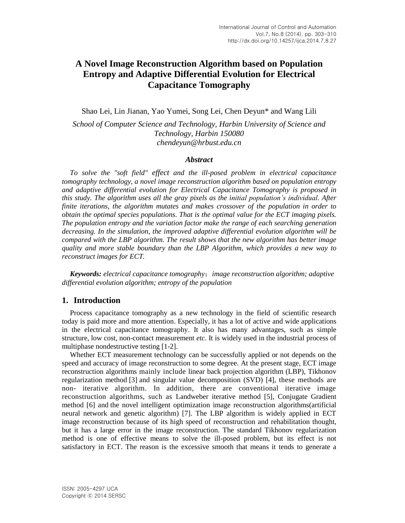# **A Novel Image Reconstruction Algorithm based on Population Entropy and Adaptive Differential Evolution for Electrical Capacitance Tomography**

Shao Lei, Lin Jianan, Yao Yumei, Song Lei, Chen Deyun\* and Wang Lili

*School of Computer Science and Technology, Harbin University of Science and Technology, Harbin 150080 chendeyun@hrbust.edu.cn*

### *Abstract*

*To solve the "soft field" effect and the ill-posed problem in electrical capacitance tomography technology, a novel image reconstruction algorithm based on population entropy and adaptive differential evolution for Electrical Capacitance Tomography is proposed in this study. The algorithm uses all the gray pixels as the initial population's individual. After finite iterations, the algorithm mutates and makes crossover of the population in order to obtain the optimal species populations. That is the optimal value for the ECT imaging pixels. The population entropy and the variation factor make the range of each searching generation decreasing. In the simulation, the improved adaptive differential evolution algorithm will be compared with the LBP algorithm. The result shows that the new algorithm has better image quality and more stable boundary than the LBP Algorithm, which provides a new way to reconstruct images for ECT.*

*Keywords: electrical capacitance tomography*;*image reconstruction algorithm; adaptive differential evolution algorithm; entropy of the population*

# **1. Introduction**

Process capacitance tomography as a new technology in the field of scientific research today is paid more and more attention. Especially, it has a lot of active and wide applications in the electrical capacitance tomography. It also has many advantages, such as simple structure, low cost, non-contact measurement *etc*. It is widely used in the industrial process of multiphase nondestructive testing [1-2].

Whether ECT measurement technology can be successfully applied or not depends on the speed and accuracy of image reconstruction to some degree. At the present stage, ECT image reconstruction algorithms mainly include linear back projection algorithm (LBP), Tikhonov regularization method [3] and singular value decomposition (SVD) [4], these methods are non- iterative algorithm. In addition, there are conventional iterative image reconstruction algorithms, such as Landweber iterative method [5], Conjugate Gradient method [6] and the novel intelligent optimization image reconstruction algorithms(artificial neural network and genetic algorithm) [7]. The LBP algorithm is widely applied in ECT image reconstruction because of its high speed of reconstruction and rehabilitation thought, but it has a large error in the image reconstruction. The standard Tikhonov regularization method is one of effective means to solve the ill-posed problem, but its effect is not satisfactory in ECT. The reason is the excessive smooth that means it tends to generate a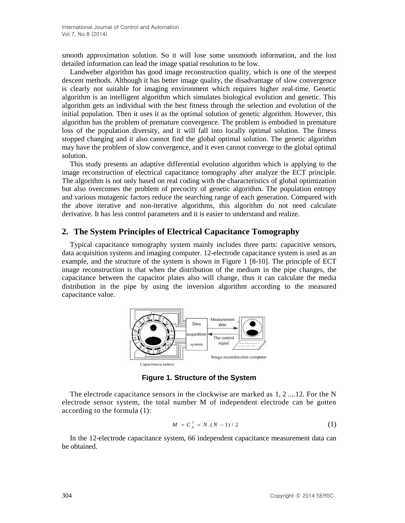smooth approximation solution. So it will lose some unsmooth information, and the lost detailed information can lead the image spatial resolution to be low.

Landweber algorithm has good image reconstruction quality, which is one of the steepest descent methods. Although it has better image quality, the disadvantage of slow convergence is clearly not suitable for imaging environment which requires higher real-time. Genetic algorithm is an intelligent algorithm which simulates biological evolution and genetic. This algorithm gets an individual with the best fitness through the selection and evolution of the initial population. Then it uses it as the optimal solution of genetic algorithm. However, this algorithm has the problem of premature convergence. The problem is embodied in premature loss of the population diversity, and it will fall into locally optimal solution. The fitness stopped changing and it also cannot find the global optimal solution. The genetic algorithm may have the problem of slow convergence, and it even cannot converge to the global optimal solution.

This study presents an adaptive differential evolution algorithm which is applying to the image reconstruction of electrical capacitance tomography after analyze the ECT principle. The algorithm is not only based on real coding with the characteristics of global optimization but also overcomes the problem of precocity of genetic algorithm. The population entropy and various mutagenic factors reduce the searching range of each generation. Compared with the above iterative and non-iterative algorithms, this algorithm do not need calculate derivative. It has less control parameters and it is easier to understand and realize.

# **2. The System Principles of Electrical Capacitance Tomography**

Typical capacitance tomography system mainly includes three parts: capacitive sensors, data acquisition systems and imaging computer. 12-electrode capacitance system is used as an example, and the structure of the system is shown in Figure 1 [8-10]. The principle of ECT image reconstruction is that when the distribution of the medium in the pipe changes, the capacitance between the capacitor plates also will change, thus it can calculate the media distribution in the pipe by using the inversion algorithm according to the measured capacitance value.



**Figure 1. Structure of the System**

The electrode capacitance sensors in the clockwise are marked as 1, 2 ...12. For the N electrode sensor system, the total number M of independent electrode can be gotten according to the formula (1):

$$
M = C_N^2 = N.(N - 1) / 2
$$
 (1)

In the 12-electrode capacitance system, 66 independent capacitance measurement data can be obtained.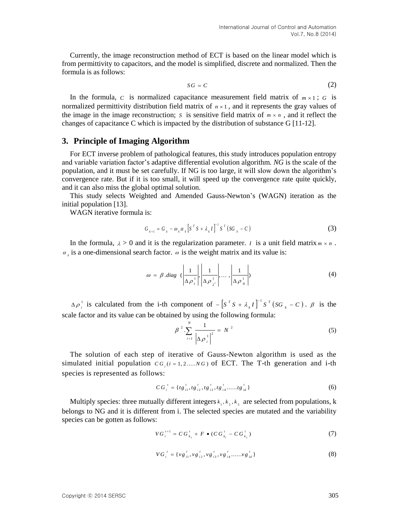Currently, the image reconstruction method of ECT is based on the linear model which is from permittivity to capacitors, and the model is simplified, discrete and normalized. Then the formula is as follows:

$$
SG = C \tag{2}
$$

In the formula, *C* is normalized capacitance measurement field matrix of  $m \times 1$ ; *G* is normalized permittivity distribution field matrix of  $n \times 1$ , and it represents the gray values of the image in the image reconstruction;  $S$  is sensitive field matrix of  $m \times n$ , and it reflect the changes of capacitance C which is impacted by the distribution of substance G [11-12].

#### **3. Principle of Imaging Algorithm**

For ECT inverse problem of pathological features, this study introduces population entropy and variable variation factor's adaptive differential evolution algorithm*. NG* is the scale of the population, and it must be set carefully. If NG is too large, it will slow down the algorithm's convergence rate. But if it is too small, it will speed up the convergence rate quite quickly, and it can also miss the global optimal solution.

This study selects Weighted and Amended Gauss-Newton's (WAGN) iteration as the initial population [13].

WAGN iterative formula is:

$$
G_{k+1} = G_k - \omega_k \alpha_k \left[ S^T S + \lambda_k I \right]^{-1} S^T (SG_k - C)
$$
 (3)

In the formula,  $\lambda > 0$  and it is the regularization parameter. *I* is a unit field matrix  $m \times n$ .  $\alpha_k$  is a one-dimensional search factor.  $\omega$  is the weight matrix and its value is:

**Contract** 

$$
\omega = \beta \cdot diag \left( \frac{1}{\Delta \rho_1^1} \middle| \frac{1}{\Delta \rho_2^1} \middle| \dots \middle| \frac{1}{\Delta \rho_N^1} \right) \tag{4}
$$

1  $\Delta \rho_i^1$  is calculated from the i-th component of  $-\left[S^T S + \lambda_k I\right] S^T (SG_k - C)$ *T k*  $-[S^T S + \lambda_L I]^{-1} S^T (SG_L - C)$ .  $\beta$  is the scale factor and its value can be obtained by using the following formula:

$$
\beta^2 \cdot \sum_{i=1}^N \frac{1}{\left| \Delta \rho_i^1 \right|^2} = N^2 \tag{5}
$$

The solution of each step of iterative of Gauss-Newton algorithm is used as the simulated initial population  $CG_i$  ( $i = 1, 2, ..., NG$ ) of ECT. The T-th generation and i-th species is represented as follows:

$$
CG_i^{\ t} = \{tg'_{i1}, tg'_{i2}, tg'_{i3}, tg'_{i4},...,tg'_{id}\}\
$$
 (6)

Multiply species: three mutually different integers  $k_1, k_2, k_3$  are selected from populations, k belongs to NG and it is different from i. The selected species are mutated and the variability species can be gotten as follows:

$$
VG_i^{\,t+1} = CG_{k_3}^{\,t} + F \bullet (CG_{k_1}^{\,t} - CG_{k_2}^{\,t}) \tag{7}
$$

$$
VG_i^{\ t} = \{vg_{i1}^{\ t},vg_{i2}^{\ t},vg_{i3}^{\ t},vg_{i4}^{\ t},\ldots,vg_{id}^{\ t}\}
$$
 (8)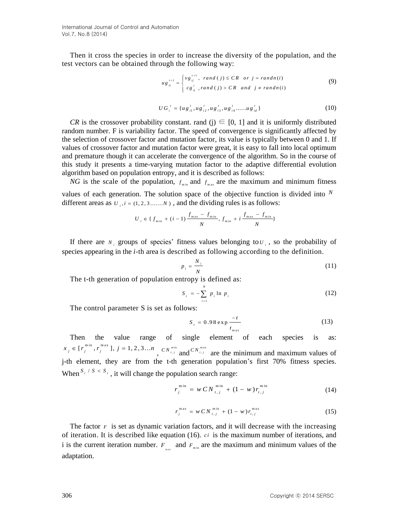Then it cross the species in order to increase the diversity of the population, and the test vectors can be obtained through the following way:

$$
ug_{ij}^{t+1} = \begin{cases} v g_{ij}^{t+1}, & \text{rand}(j) \le CR \text{ or } j = \text{randn}(i) \\ c g_{ij}^{t}, & \text{rand}(j) > CR \text{ and } j \ne \text{randn}(i) \end{cases}
$$
(9)

$$
U G_i^{\ t} = \{ u g_{i1}^{\ t}, u g_{i2}^{\ t}, u g_{i3}^{\ t}, u g_{i4}^{\ t}, \dots u g_{id}^{\ t} \}
$$
 (10)

*CR* is the crossover probability constant. rand (j)  $\in$  [0, 1] and it is uniformly distributed random number. F is variability factor. The speed of convergence is significantly affected by the selection of crossover factor and mutation factor, its value is typically between 0 and 1. If values of crossover factor and mutation factor were great, it is easy to fall into local optimum and premature though it can accelerate the convergence of the algorithm. So in the course of this study it presents a time-varying mutation factor to the adaptive differential evolution algorithm based on population entropy, and it is described as follows:

*NG* is the scale of the population,  $f_{min}$  and  $f_{max}$  are the maximum and minimum fitness values of each generation. The solution space of the objective function is divided into *N* different areas as  $U_i$ ,  $i = (1, 2, 3, \dots, N)$ , and the dividing rules is as follows:<br>*H*<sub> $I$ </sub>  $\in$  (*f*<sub> $f$ </sub>  $\in$  (*i*<sub> $f$ </sub>  $\in$   $f$ <sup>*f*<sub>max</sub></sup>  $f$ <sub>*m*<sub>m</sub></sub>  $f$ <sub>*f*<sub>*m*<sub>x</sub></sub>  $\in$   $f$ <sub>*m*<sub>in</sub></sub>  $\in$ </sub>

$$
U_{i} \in \{f_{\min} + (i-1)\frac{f_{\max} - f_{\min}}{N}, f_{\min} + i\frac{f_{\max} - f_{\min}}{N}\}\
$$

If there are  $N_i$  groups of species' fitness values belonging to  $U_i$ , so the probability of species appearing in the *i*-th area is described as following according to the definition.

$$
p_i = \frac{N_i}{N} \tag{11}
$$

The t-th generation of population entropy is defined as:

$$
S_{i} = -\sum_{i=1}^{N} p_{i} \ln p_{i}
$$
 (12)

The control parameter S is set as follows:

$$
S_r = 0.98 \exp \frac{-t}{t_{\text{max}}} \tag{13}
$$

Then the value range of single element of each species is as:  $x_j \in [r_j^{\min}, r_j^{\max}], j = 1, 2, 3...n$ ,  $CN_{i,j}^{\min}$  and  $CN_{i,j}^{\max}$  are the minimum and maximum values of j-th element, they are from the t-th generation population's first 70% fitness species. When  $S_i$  /  $S \leq S_i$ , it will change the population search range:

$$
r_j^{\min} = w \, C \, N_{t,j}^{\min} + (1 - w) \, r_{t,j}^{\min} \tag{14}
$$

$$
r_j^{\max} = w C N_{t,j}^{\min} + (1 - w) r_{t,j}^{\max}
$$
 (15)

The factor  $F$  is set as dynamic variation factors, and it will decrease with the increasing of iteration. It is described like equation (16). *ci* is the maximum number of iterations, and i is the current iteration number.  $F_{\text{max}}$  and  $F_{\text{min}}$  are the maximum and minimum values of the adaptation.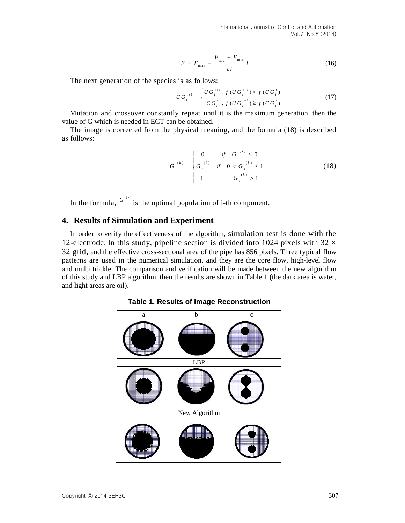International Journal of Control and Automation Vol.7, No.8 (2014)

$$
F = F_{\max} - \frac{F_{\max} - F_{\min}}{c i} i \tag{16}
$$

The next generation of the species is as follows:

$$
CG_i^{t+1} = \begin{cases} UG_i^{t+1}, f(UG_i^{t+1}) < f(CG_i^t) \\ CG_i^t, f(UG_i^{t+1}) \ge f(CG_i^t) \end{cases} \tag{17}
$$

Mutation and crossover constantly repeat until it is the maximum generation, then the value of G which is needed in ECT can be obtained.

The image is corrected from the physical meaning, and the formula (18) is described as follows:

$$
G_i^{(k)} = \begin{cases} 0 & \text{if } G_i^{(k)} \le 0 \\ G_i^{(k)} & \text{if } 0 < G_i^{(k)} \le 1 \\ 1 & G_i^{(k)} > 1 \end{cases} \tag{18}
$$

In the formula,  $G_i^{(k)}$  is the optimal population of i-th component.

## **4. Results of Simulation and Experiment**

In order to verify the effectiveness of the algorithm, simulation test is done with the 12-electrode. In this study, pipeline section is divided into 1024 pixels with  $32 \times$ 32 grid, and the effective cross-sectional area of the pipe has 856 pixels. Three typical flow patterns are used in the numerical simulation, and they are the core flow, high-level flow and multi trickle. The comparison and verification will be made between the new algorithm of this study and LBP algorithm, then the results are shown in Table 1 (the dark area is water, and light areas are oil).

**Table 1. Results of Image Reconstruction**

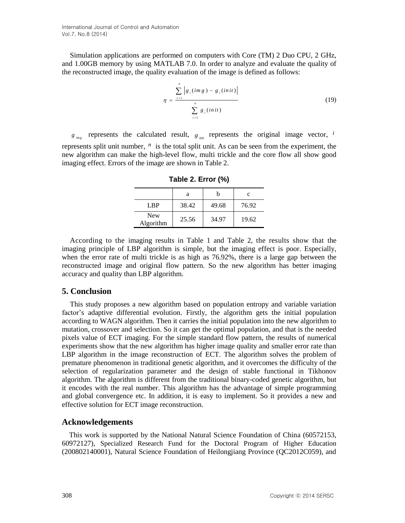Simulation applications are performed on computers with Core (TM) 2 Duo CPU, 2 GHz, and 1.00GB memory by using MATLAB 7.0. In order to analyze and evaluate the quality of the reconstructed image, the quality evaluation of the image is defined as follows:

$$
\eta = \frac{\sum_{i=1}^{n} |g_{i}(im\,g) - g_{i}(init)|}{\sum_{i=1}^{n} g_{i}(init)}
$$
(19)

 $g_{img}$  represents the calculated result,  $g_{imf}$  represents the original image vector, *i* represents split unit number, *n* is the total split unit. As can be seen from the experiment, the new algorithm can make the high-level flow, multi trickle and the core flow all show good imaging effect. Errors of the image are shown in Table 2.

|                         | а     |       | C     |
|-------------------------|-------|-------|-------|
| L <sub>RP</sub>         | 38.42 | 49.68 | 76.92 |
| <b>New</b><br>Algorithm | 25.56 | 34.97 | 19.62 |

**Table 2. Error (%)**

According to the imaging results in Table 1 and Table 2, the results show that the imaging principle of LBP algorithm is simple, but the imaging effect is poor. Especially, when the error rate of multi trickle is as high as 76.92%, there is a large gap between the reconstructed image and original flow pattern. So the new algorithm has better imaging accuracy and quality than LBP algorithm.

# **5. Conclusion**

This study proposes a new algorithm based on population entropy and variable variation factor's adaptive differential evolution. Firstly, the algorithm gets the initial population according to WAGN algorithm. Then it carries the initial population into the new algorithm to mutation, crossover and selection. So it can get the optimal population, and that is the needed pixels value of ECT imaging. For the simple standard flow pattern, the results of numerical experiments show that the new algorithm has higher image quality and smaller error rate than LBP algorithm in the image reconstruction of ECT. The algorithm solves the problem of premature phenomenon in traditional genetic algorithm, and it overcomes the difficulty of the selection of regularization parameter and the design of stable functional in Tikhonov algorithm. The algorithm is different from the traditional binary-coded genetic algorithm, but it encodes with the real number. This algorithm has the advantage of simple programming and global convergence etc. In addition, it is easy to implement. So it provides a new and effective solution for ECT image reconstruction.

# **Acknowledgements**

This work is supported by the National Natural Science Foundation of China (60572153, 60972127), Specialized Research Fund for the Doctoral Program of Higher Education (200802140001), Natural Science Foundation of Heilongjiang Province (QC2012C059), and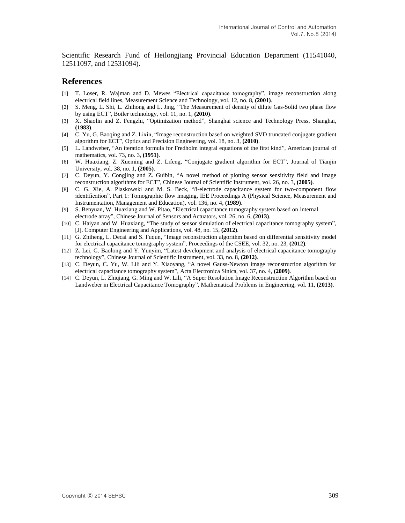Scientific Research Fund of Heilongjiang Provincial Education Department (11541040, 12511097, and 12531094).

#### **References**

- [1] T. Loser, R. Wajman and D. Mewes "Electrical capacitance tomography", image reconstruction along electrical field lines, Measurement Science and Technology, vol. 12, no. 8, **(2001)**.
- [2] S. Meng, L. Shi, L. Zhihong and L. Jing, "The Measurement of density of dilute Gas-Solid two phase flow by using ECT", Boiler technology, vol. 11, no. 1, **(2010)**.
- [3] X. Shaolin and Z. Fengzhi, "Optimization method", Shanghai science and Technology Press, Shanghai, **(1983)**.
- [4] C. Yu, G. Baoqing and Z. Lixin, "Image reconstruction based on weighted SVD truncated conjugate gradient algorithm for ECT", Optics and Precision Engineering, vol. 18, no. 3, **(2010)**.
- [5] L. Landweber, "An iteration formula for Fredholm integral equations of the first kind", American journal of mathematics, vol. 73, no. 3, **(1951)**.
- [6] W. Huaxiang, Z. Xueming and Z. Lifeng, "Conjugate gradient algorithm for ECT", Journal of Tianjin University, vol. 38, no. 1, **(2005)**.
- [7] C. Deyun, Y. Congjing and Z. Guibin, "A novel method of plotting sensor sensitivity field and image reconstruction algorithms for ECT", Chinese Journal of Scientific Instrument, vol. 26, no. 3, **(2005)**.
- [8] C. G. Xie, A. Plaskowski and M. S. Beck, "8-electrode capacitance system for two-component flow identification", Part 1: Tomographic flow imaging, IEE Proceedings A (Physical Science, Measurement and Instrumentation, Management and Education), vol. 136, no. 4, **(1989)**.
- [9] S. Benyuan, W. Huaxiang and W. Pitao, "Electrical capacitance tomography system based on internal electrode array", Chinese Journal of Sensors and Actuators, vol. 26, no. 6, **(2013)**.
- [10] C. Haiyan and W. Huaxiang, "The study of sensor simulation of electrical capacitance tomography system", [J]. Computer Engineering and Applications, vol. 48, no. 15, **(2012)**.
- [11] G. Zhiheng, L. Decai and S. Fuqun, "Image reconstruction algorithm based on differential sensitivity model for electrical capacitance tomography system", Proceedings of the CSEE, vol. 32, no. 23, **(2012)**.
- [12] Z. Lei, G. Baolong and Y. Yunyim, "Latest development and analysis of electrical capacitance tomography technology", Chinese Journal of Scientific Instrument, vol. 33, no. 8, **(2012)**.
- [13] C. Deyun, C. Yu, W. Lili and Y. Xiaoyang, "A novel Gauss-Newton image reconstruction algorithm for electrical capacitance tomography system", Acta Electronica Sinica, vol. 37, no. 4, **(2009)**.
- [14] C. Deyun, L. Zhiqiang, G. Ming and W. Lili, "A Super Resolution Image Reconstruction Algorithm based on Landweber in Electrical Capacitance Tomography", Mathematical Problems in Engineering, vol. 11, **(2013)**.